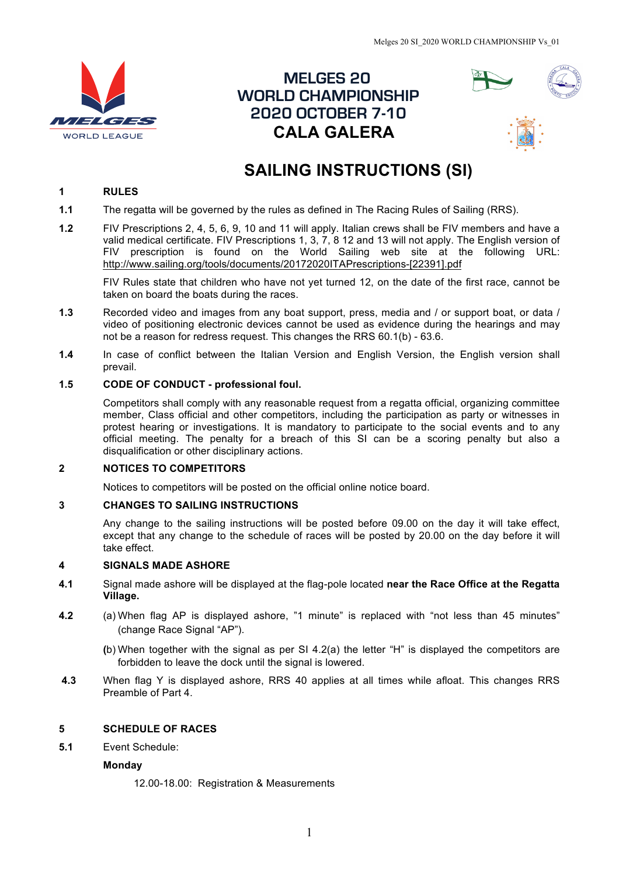

 **MELGES 20****WORLD CHAMPIONSHIP 2020 OCTOBER 7-10 CALA GALERA**



# **SAILING INSTRUCTIONS (SI)**

## **1 RULES**

- **1.1** The regatta will be governed by the rules as defined in The Racing Rules of Sailing (RRS).
- **1.2** FIV Prescriptions 2, 4, 5, 6, 9, 10 and 11 will apply. Italian crews shall be FIV members and have a valid medical certificate. FIV Prescriptions 1, 3, 7, 8 12 and 13 will not apply. The English version of FIV prescription is found on the World Sailing web site at the following URL: http://www.sailing.org/tools/documents/20172020ITAPrescriptions-[22391].pdf

FIV Rules state that children who have not yet turned 12, on the date of the first race, cannot be taken on board the boats during the races.

- **1.3** Recorded video and images from any boat support, press, media and / or support boat, or data / video of positioning electronic devices cannot be used as evidence during the hearings and may not be a reason for redress request. This changes the RRS 60.1(b) - 63.6.
- **1.4** In case of conflict between the Italian Version and English Version, the English version shall prevail.

## **1.5 CODE OF CONDUCT - professional foul.**

Competitors shall comply with any reasonable request from a regatta official, organizing committee member, Class official and other competitors, including the participation as party or witnesses in protest hearing or investigations. It is mandatory to participate to the social events and to any official meeting. The penalty for a breach of this SI can be a scoring penalty but also a disqualification or other disciplinary actions.

#### **2 NOTICES TO COMPETITORS**

Notices to competitors will be posted on the official online notice board.

## **3 CHANGES TO SAILING INSTRUCTIONS**

Any change to the sailing instructions will be posted before 09.00 on the day it will take effect, except that any change to the schedule of races will be posted by 20.00 on the day before it will take effect.

#### **4 SIGNALS MADE ASHORE**

- **4.1** Signal made ashore will be displayed at the flag-pole located **near the Race Office at the Regatta Village.**
- **4.2** (a) When flag AP is displayed ashore, "1 minute" is replaced with "not less than 45 minutes" (change Race Signal "AP").
	- **(**b) When together with the signal as per SI 4.2(a) the letter "H" is displayed the competitors are forbidden to leave the dock until the signal is lowered.
- **4.3** When flag Y is displayed ashore, RRS 40 applies at all times while afloat. This changes RRS Preamble of Part 4.

## **5 SCHEDULE OF RACES**

**5.1** Event Schedule:

#### **Monday**

12.00-18.00: Registration & Measurements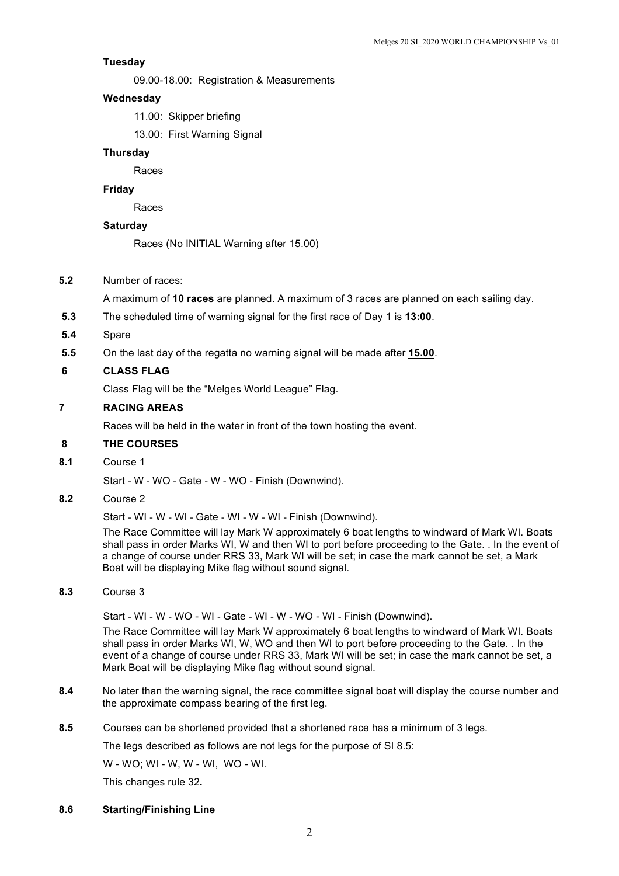## **Tuesday**

09.00-18.00: Registration & Measurements

#### **Wednesday**

11.00: Skipper briefing

13.00: First Warning Signal

## **Thursday**

Races

## **Friday**

Races

### **Saturday**

Races (No INITIAL Warning after 15.00)

**5.2** Number of races:

A maximum of **10 races** are planned. A maximum of 3 races are planned on each sailing day.

- **5.3** The scheduled time of warning signal for the first race of Day 1 is **13:00**.
- **5.4** Spare
- **5.5** On the last day of the regatta no warning signal will be made after **15.00**.

#### **6 CLASS FLAG**

Class Flag will be the "Melges World League" Flag.

## **7 RACING AREAS**

Races will be held in the water in front of the town hosting the event.

#### **8 THE COURSES**

**8.1** Course 1

Start - W - WO - Gate - W - WO - Finish (Downwind).

#### **8.2** Course 2

Start - WI - W - WI - Gate - WI - W - WI - Finish (Downwind).

The Race Committee will lay Mark W approximately 6 boat lengths to windward of Mark WI. Boats shall pass in order Marks WI, W and then WI to port before proceeding to the Gate. . In the event of a change of course under RRS 33, Mark WI will be set; in case the mark cannot be set, a Mark Boat will be displaying Mike flag without sound signal.

## **8.3** Course 3

Start - WI - W - WO - WI - Gate - WI - W - WO - WI - Finish (Downwind).

The Race Committee will lay Mark W approximately 6 boat lengths to windward of Mark WI. Boats shall pass in order Marks WI, W, WO and then WI to port before proceeding to the Gate. . In the event of a change of course under RRS 33, Mark WI will be set; in case the mark cannot be set, a Mark Boat will be displaying Mike flag without sound signal.

- **8.4** No later than the warning signal, the race committee signal boat will display the course number and the approximate compass bearing of the first leg.
- **8.5** Courses can be shortened provided that a shortened race has a minimum of 3 legs.

The legs described as follows are not legs for the purpose of SI 8.5:

W - WO; WI - W, W - WI, WO - WI.

This changes rule 32**.**

#### **8.6 Starting/Finishing Line**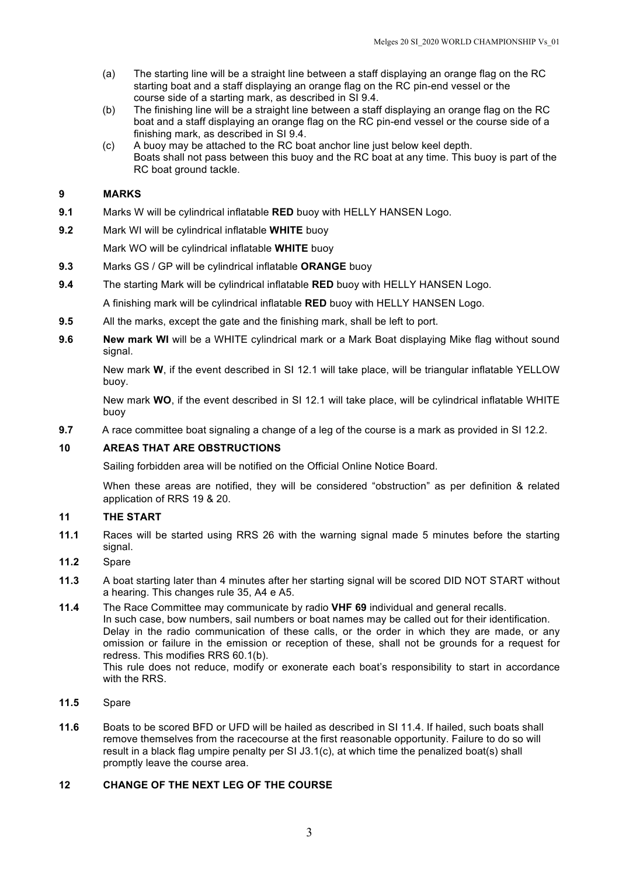- (a) The starting line will be a straight line between a staff displaying an orange flag on the RC starting boat and a staff displaying an orange flag on the RC pin-end vessel or the course side of a starting mark, as described in SI 9.4.
- (b) The finishing line will be a straight line between a staff displaying an orange flag on the RC boat and a staff displaying an orange flag on the RC pin-end vessel or the course side of a finishing mark, as described in SI 9.4.
- (c) A buoy may be attached to the RC boat anchor line just below keel depth. Boats shall not pass between this buoy and the RC boat at any time. This buoy is part of the RC boat ground tackle.

## **9 MARKS**

- **9.1** Marks W will be cylindrical inflatable **RED** buoy with HELLY HANSEN Logo.
- **9.2** Mark WI will be cylindrical inflatable **WHITE** buoy

Mark WO will be cylindrical inflatable **WHITE** buoy

- **9.3** Marks GS / GP will be cylindrical inflatable **ORANGE** buoy
- **9.4** The starting Mark will be cylindrical inflatable **RED** buoy with HELLY HANSEN Logo.

A finishing mark will be cylindrical inflatable **RED** buoy with HELLY HANSEN Logo.

- **9.5** All the marks, except the gate and the finishing mark, shall be left to port.
- **9.6 New mark WI** will be a WHITE cylindrical mark or a Mark Boat displaying Mike flag without sound signal.

New mark **W**, if the event described in SI 12.1 will take place, will be triangular inflatable YELLOW buoy.

New mark **WO**, if the event described in SI 12.1 will take place, will be cylindrical inflatable WHITE buoy

**9.7** A race committee boat signaling a change of a leg of the course is a mark as provided in SI 12.2.

## **10 AREAS THAT ARE OBSTRUCTIONS**

Sailing forbidden area will be notified on the Official Online Notice Board.

When these areas are notified, they will be considered "obstruction" as per definition & related application of RRS 19 & 20.

## **11 THE START**

- **11.1** Races will be started using RRS 26 with the warning signal made 5 minutes before the starting signal.
- **11.2** Spare
- **11.3** A boat starting later than 4 minutes after her starting signal will be scored DID NOT START without a hearing. This changes rule 35, A4 e A5.
- **11.4** The Race Committee may communicate by radio **VHF 69** individual and general recalls. In such case, bow numbers, sail numbers or boat names may be called out for their identification. Delay in the radio communication of these calls, or the order in which they are made, or any omission or failure in the emission or reception of these, shall not be grounds for a request for redress. This modifies RRS 60.1(b). This rule does not reduce, modify or exonerate each boat's responsibility to start in accordance with the RRS.
- **11.5** Spare
- **11.6** Boats to be scored BFD or UFD will be hailed as described in SI 11.4. If hailed, such boats shall remove themselves from the racecourse at the first reasonable opportunity. Failure to do so will result in a black flag umpire penalty per SI J3.1(c), at which time the penalized boat(s) shall promptly leave the course area.

## **12 CHANGE OF THE NEXT LEG OF THE COURSE**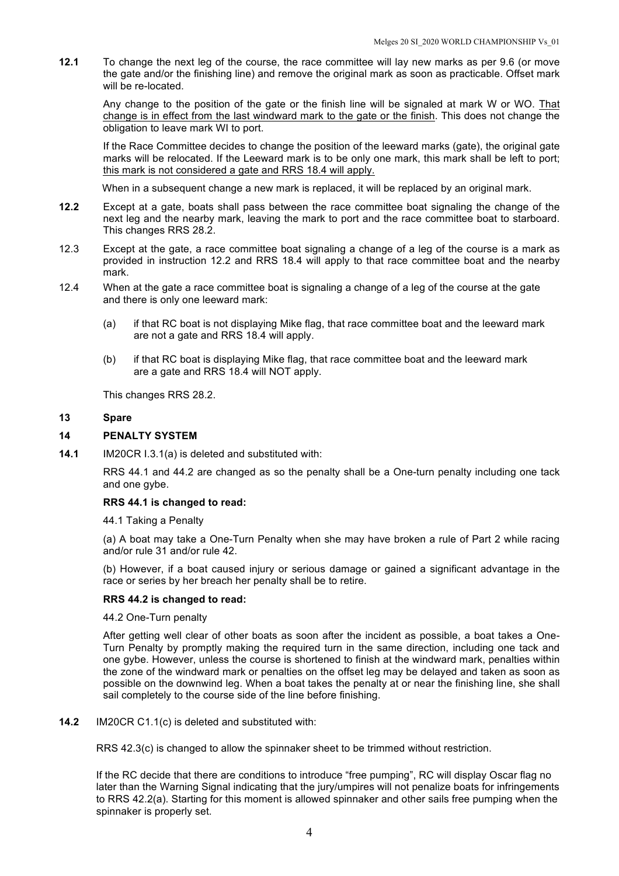**12.1** To change the next leg of the course, the race committee will lay new marks as per 9.6 (or move the gate and/or the finishing line) and remove the original mark as soon as practicable. Offset mark will be re-located.

Any change to the position of the gate or the finish line will be signaled at mark W or WO. That change is in effect from the last windward mark to the gate or the finish. This does not change the obligation to leave mark WI to port.

If the Race Committee decides to change the position of the leeward marks (gate), the original gate marks will be relocated. If the Leeward mark is to be only one mark, this mark shall be left to port; this mark is not considered a gate and RRS 18.4 will apply.

When in a subsequent change a new mark is replaced, it will be replaced by an original mark.

- **12.2** Except at a gate, boats shall pass between the race committee boat signaling the change of the next leg and the nearby mark, leaving the mark to port and the race committee boat to starboard. This changes RRS 28.2.
- 12.3 Except at the gate, a race committee boat signaling a change of a leg of the course is a mark as provided in instruction 12.2 and RRS 18.4 will apply to that race committee boat and the nearby mark.
- 12.4 When at the gate a race committee boat is signaling a change of a leg of the course at the gate and there is only one leeward mark:
	- (a) if that RC boat is not displaying Mike flag, that race committee boat and the leeward mark are not a gate and RRS 18.4 will apply.
	- (b) if that RC boat is displaying Mike flag, that race committee boat and the leeward mark are a gate and RRS 18.4 will NOT apply.

This changes RRS 28.2.

#### **13 Spare**

#### **14 PENALTY SYSTEM**

**14.1** IM20CR I.3.1(a) is deleted and substituted with:

RRS 44.1 and 44.2 are changed as so the penalty shall be a One-turn penalty including one tack and one gybe.

#### **RRS 44.1 is changed to read:**

44.1 Taking a Penalty

(a) A boat may take a One-Turn Penalty when she may have broken a rule of Part 2 while racing and/or rule 31 and/or rule 42.

(b) However, if a boat caused injury or serious damage or gained a significant advantage in the race or series by her breach her penalty shall be to retire.

#### **RRS 44.2 is changed to read:**

44.2 One-Turn penalty

After getting well clear of other boats as soon after the incident as possible, a boat takes a One-Turn Penalty by promptly making the required turn in the same direction, including one tack and one gybe. However, unless the course is shortened to finish at the windward mark, penalties within the zone of the windward mark or penalties on the offset leg may be delayed and taken as soon as possible on the downwind leg. When a boat takes the penalty at or near the finishing line, she shall sail completely to the course side of the line before finishing.

**14.2** IM20CR C1.1(c) is deleted and substituted with:

RRS 42.3(c) is changed to allow the spinnaker sheet to be trimmed without restriction.

If the RC decide that there are conditions to introduce "free pumping", RC will display Oscar flag no later than the Warning Signal indicating that the jury/umpires will not penalize boats for infringements to RRS 42.2(a). Starting for this moment is allowed spinnaker and other sails free pumping when the spinnaker is properly set.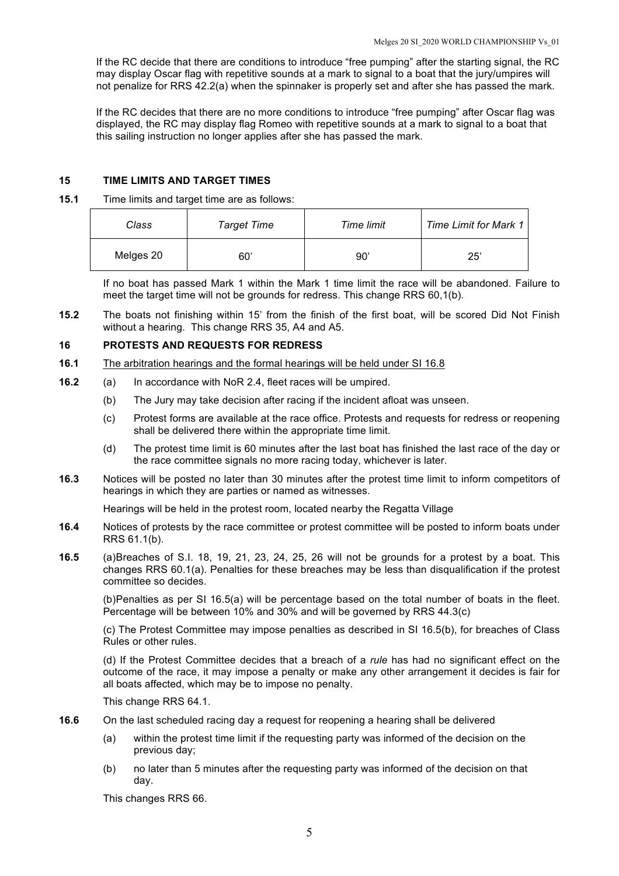If the RC decide that there are conditions to introduce "free pumping" after the starting signal, the RC may display Oscar flag with repetitive sounds at a mark to signal to a boat that the jury/umpires will not penalize for RRS 42.2(a) when the spinnaker is properly set and after she has passed the mark.

If the RC decides that there are no more conditions to introduce "free pumping" after Oscar flag was displayed, the RC may display flag Romeo with repetitive sounds at a mark to signal to a boat that this sailing instruction no longer applies after she has passed the mark.

## **15 TIME LIMITS AND TARGET TIMES**

## **15.1** Time limits and target time are as follows:

| Class     | <b>Target Time</b> | Time limit | <b>Time Limit for Mark 1</b> |
|-----------|--------------------|------------|------------------------------|
| Melges 20 | 60'                | 90'        | 25'                          |

If no boat has passed Mark 1 within the Mark 1 time limit the race will be abandoned. Failure to meet the target time will not be grounds for redress. This change RRS 60,1(b).

**15.2** The boats not finishing within 15' from the finish of the first boat, will be scored Did Not Finish without a hearing. This change RRS 35, A4 and A5.

## **16 PROTESTS AND REQUESTS FOR REDRESS**

- **16.1** The arbitration hearings and the formal hearings will be held under SI 16.8
- **16.2** (a) In accordance with NoR 2.4, fleet races will be umpired.
	- (b) The Jury may take decision after racing if the incident afloat was unseen.
	- (c) Protest forms are available at the race office. Protests and requests for redress or reopening shall be delivered there within the appropriate time limit.
	- (d) The protest time limit is 60 minutes after the last boat has finished the last race of the day or the race committee signals no more racing today, whichever is later.
- **16.3** Notices will be posted no later than 30 minutes after the protest time limit to inform competitors of hearings in which they are parties or named as witnesses.

Hearings will be held in the protest room, located nearby the Regatta Village

- **16.4** Notices of protests by the race committee or protest committee will be posted to inform boats under RRS 61.1(b).
- **16.5** (a)Breaches of S.I. 18, 19, 21, 23, 24, 25, 26 will not be grounds for a protest by a boat. This changes RRS 60.1(a). Penalties for these breaches may be less than disqualification if the protest committee so decides.

(b)Penalties as per SI 16.5(a) will be percentage based on the total number of boats in the fleet. Percentage will be between 10% and 30% and will be governed by RRS 44.3(c)

(c) The Protest Committee may impose penalties as described in SI 16.5(b), for breaches of Class Rules or other rules.

(d) If the Protest Committee decides that a breach of a *rule* has had no significant effect on the outcome of the race, it may impose a penalty or make any other arrangement it decides is fair for all boats affected, which may be to impose no penalty.

This change RRS 64.1.

- **16.6** On the last scheduled racing day a request for reopening a hearing shall be delivered
	- (a) within the protest time limit if the requesting party was informed of the decision on the previous day;
	- (b) no later than 5 minutes after the requesting party was informed of the decision on that day.

This changes RRS 66.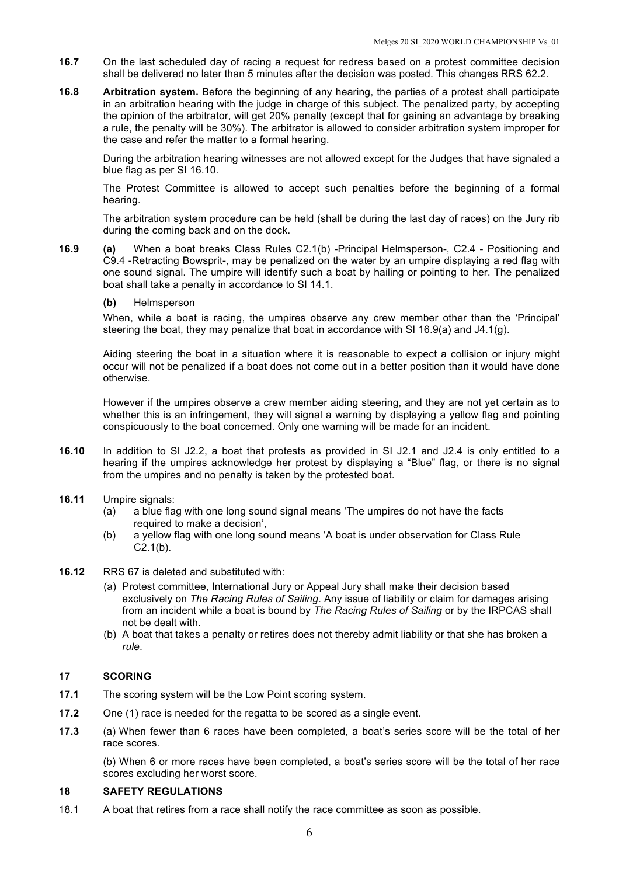- **16.7** On the last scheduled day of racing a request for redress based on a protest committee decision shall be delivered no later than 5 minutes after the decision was posted. This changes RRS 62.2.
- **16.8 Arbitration system.** Before the beginning of any hearing, the parties of a protest shall participate in an arbitration hearing with the judge in charge of this subject. The penalized party, by accepting the opinion of the arbitrator, will get 20% penalty (except that for gaining an advantage by breaking a rule, the penalty will be 30%). The arbitrator is allowed to consider arbitration system improper for the case and refer the matter to a formal hearing.

During the arbitration hearing witnesses are not allowed except for the Judges that have signaled a blue flag as per SI 16.10.

The Protest Committee is allowed to accept such penalties before the beginning of a formal hearing.

The arbitration system procedure can be held (shall be during the last day of races) on the Jury rib during the coming back and on the dock.

- **16.9 (a)** When a boat breaks Class Rules C2.1(b) -Principal Helmsperson-, C2.4 Positioning and C9.4 -Retracting Bowsprit-, may be penalized on the water by an umpire displaying a red flag with one sound signal. The umpire will identify such a boat by hailing or pointing to her. The penalized boat shall take a penalty in accordance to SI 14.1.
	- **(b)** Helmsperson

When, while a boat is racing, the umpires observe any crew member other than the 'Principal' steering the boat, they may penalize that boat in accordance with SI 16.9(a) and J4.1(g).

Aiding steering the boat in a situation where it is reasonable to expect a collision or injury might occur will not be penalized if a boat does not come out in a better position than it would have done otherwise.

However if the umpires observe a crew member aiding steering, and they are not yet certain as to whether this is an infringement, they will signal a warning by displaying a yellow flag and pointing conspicuously to the boat concerned. Only one warning will be made for an incident.

- **16.10** In addition to SI J2.2, a boat that protests as provided in SI J2.1 and J2.4 is only entitled to a hearing if the umpires acknowledge her protest by displaying a "Blue" flag, or there is no signal from the umpires and no penalty is taken by the protested boat.
- **16.11** Umpire signals:
	- (a) a blue flag with one long sound signal means 'The umpires do not have the facts required to make a decision',
	- (b) a yellow flag with one long sound means 'A boat is under observation for Class Rule C2.1(b).
- **16.12** RRS 67 is deleted and substituted with:
	- (a) Protest committee, International Jury or Appeal Jury shall make their decision based exclusively on *The Racing Rules of Sailing*. Any issue of liability or claim for damages arising from an incident while a boat is bound by *The Racing Rules of Sailing* or by the IRPCAS shall not be dealt with.
	- (b) A boat that takes a penalty or retires does not thereby admit liability or that she has broken a *rule*.

## **17 SCORING**

- **17.1** The scoring system will be the Low Point scoring system.
- **17.2** One (1) race is needed for the regatta to be scored as a single event.
- **17.3** (a) When fewer than 6 races have been completed, a boat's series score will be the total of her race scores.

(b) When 6 or more races have been completed, a boat's series score will be the total of her race scores excluding her worst score.

## **18 SAFETY REGULATIONS**

18.1 A boat that retires from a race shall notify the race committee as soon as possible.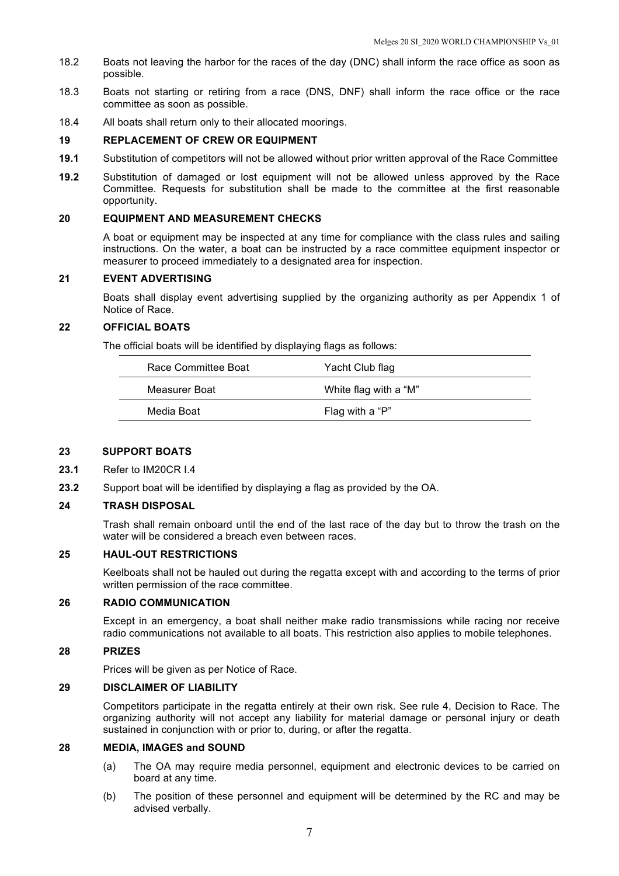- 18.2 Boats not leaving the harbor for the races of the day (DNC) shall inform the race office as soon as possible.
- 18.3 Boats not starting or retiring from a race (DNS, DNF) shall inform the race office or the race committee as soon as possible.
- 18.4 All boats shall return only to their allocated moorings.

#### **19 REPLACEMENT OF CREW OR EQUIPMENT**

- **19.1** Substitution of competitors will not be allowed without prior written approval of the Race Committee
- **19.2** Substitution of damaged or lost equipment will not be allowed unless approved by the Race Committee. Requests for substitution shall be made to the committee at the first reasonable opportunity.

#### **20 EQUIPMENT AND MEASUREMENT CHECKS**

A boat or equipment may be inspected at any time for compliance with the class rules and sailing instructions. On the water, a boat can be instructed by a race committee equipment inspector or measurer to proceed immediately to a designated area for inspection.

## **21 EVENT ADVERTISING**

Boats shall display event advertising supplied by the organizing authority as per Appendix 1 of Notice of Race.

#### **22 OFFICIAL BOATS**

The official boats will be identified by displaying flags as follows:

| Race Committee Boat | Yacht Club flag       |
|---------------------|-----------------------|
| Measurer Boat       | White flag with a "M" |
| Media Boat          | Flag with a "P"       |

#### **23 SUPPORT BOATS**

- **23.1** Refer to IM20CR I.4
- **23.2** Support boat will be identified by displaying a flag as provided by the OA.

#### **24 TRASH DISPOSAL**

Trash shall remain onboard until the end of the last race of the day but to throw the trash on the water will be considered a breach even between races.

#### **25 HAUL-OUT RESTRICTIONS**

Keelboats shall not be hauled out during the regatta except with and according to the terms of prior written permission of the race committee.

#### **26 RADIO COMMUNICATION**

Except in an emergency, a boat shall neither make radio transmissions while racing nor receive radio communications not available to all boats. This restriction also applies to mobile telephones.

#### **28 PRIZES**

Prices will be given as per Notice of Race.

#### **29 DISCLAIMER OF LIABILITY**

Competitors participate in the regatta entirely at their own risk. See rule 4, Decision to Race. The organizing authority will not accept any liability for material damage or personal injury or death sustained in conjunction with or prior to, during, or after the regatta.

#### **28 MEDIA, IMAGES and SOUND**

- (a) The OA may require media personnel, equipment and electronic devices to be carried on board at any time.
- (b) The position of these personnel and equipment will be determined by the RC and may be advised verbally.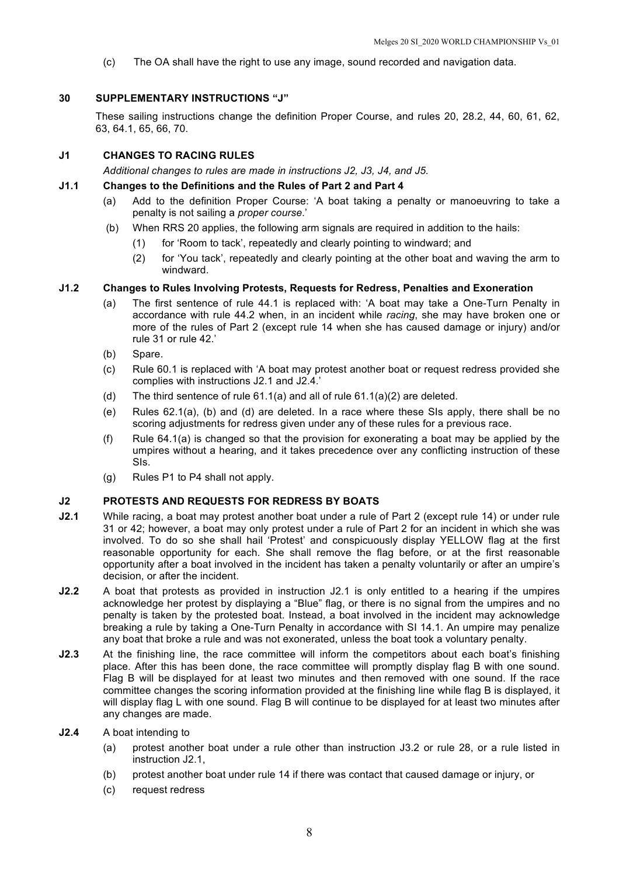(c) The OA shall have the right to use any image, sound recorded and navigation data.

## **30 SUPPLEMENTARY INSTRUCTIONS "J"**

These sailing instructions change the definition Proper Course, and rules 20, 28.2, 44, 60, 61, 62, 63, 64.1, 65, 66, 70.

## **J1 CHANGES TO RACING RULES**

*Additional changes to rules are made in instructions J2, J3, J4, and J5.*

## **J1.1 Changes to the Definitions and the Rules of Part 2 and Part 4**

- (a) Add to the definition Proper Course: 'A boat taking a penalty or manoeuvring to take a penalty is not sailing a *proper course*.'
- (b) When RRS 20 applies, the following arm signals are required in addition to the hails:
	- (1) for 'Room to tack', repeatedly and clearly pointing to windward; and
	- (2) for 'You tack', repeatedly and clearly pointing at the other boat and waving the arm to windward.

## **J1.2 Changes to Rules Involving Protests, Requests for Redress, Penalties and Exoneration**

- (a) The first sentence of rule 44.1 is replaced with: 'A boat may take a One-Turn Penalty in accordance with rule 44.2 when, in an incident while *racing*, she may have broken one or more of the rules of Part 2 (except rule 14 when she has caused damage or injury) and/or rule 31 or rule 42.'
- (b) Spare.
- (c) Rule 60.1 is replaced with 'A boat may protest another boat or request redress provided she complies with instructions J2.1 and J2.4.'
- (d) The third sentence of rule 61.1(a) and all of rule 61.1(a)(2) are deleted.
- (e) Rules 62.1(a), (b) and (d) are deleted. In a race where these SIs apply, there shall be no scoring adjustments for redress given under any of these rules for a previous race.
- (f) Rule 64.1(a) is changed so that the provision for exonerating a boat may be applied by the umpires without a hearing, and it takes precedence over any conflicting instruction of these SIs.
- (g) Rules P1 to P4 shall not apply.

## **J2 PROTESTS AND REQUESTS FOR REDRESS BY BOATS**

- **J2.1** While racing, a boat may protest another boat under a rule of Part 2 (except rule 14) or under rule 31 or 42; however, a boat may only protest under a rule of Part 2 for an incident in which she was involved. To do so she shall hail 'Protest' and conspicuously display YELLOW flag at the first reasonable opportunity for each. She shall remove the flag before, or at the first reasonable opportunity after a boat involved in the incident has taken a penalty voluntarily or after an umpire's decision, or after the incident.
- **J2.2** A boat that protests as provided in instruction J2.1 is only entitled to a hearing if the umpires acknowledge her protest by displaying a "Blue" flag, or there is no signal from the umpires and no penalty is taken by the protested boat. Instead, a boat involved in the incident may acknowledge breaking a rule by taking a One-Turn Penalty in accordance with SI 14.1. An umpire may penalize any boat that broke a rule and was not exonerated, unless the boat took a voluntary penalty.
- **J2.3** At the finishing line, the race committee will inform the competitors about each boat's finishing place. After this has been done, the race committee will promptly display flag B with one sound. Flag B will be displayed for at least two minutes and then removed with one sound. If the race committee changes the scoring information provided at the finishing line while flag B is displayed, it will display flag L with one sound. Flag B will continue to be displayed for at least two minutes after any changes are made.
- **J2.4** A boat intending to
	- (a) protest another boat under a rule other than instruction J3.2 or rule 28, or a rule listed in instruction J2.1,
	- (b) protest another boat under rule 14 if there was contact that caused damage or injury, or
	- (c) request redress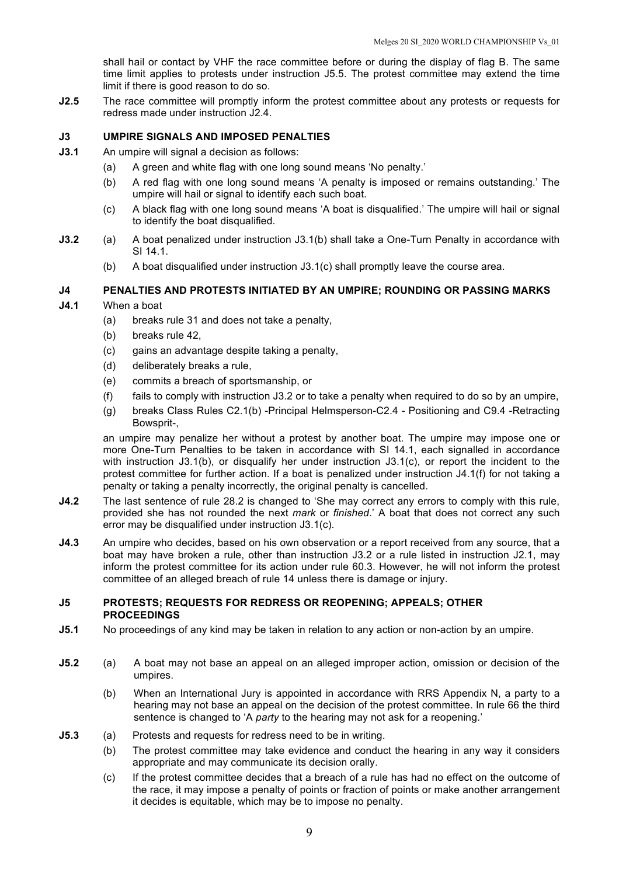shall hail or contact by VHF the race committee before or during the display of flag B. The same time limit applies to protests under instruction J5.5. The protest committee may extend the time limit if there is good reason to do so.

**J2.5** The race committee will promptly inform the protest committee about any protests or requests for redress made under instruction J2.4.

## **J3 UMPIRE SIGNALS AND IMPOSED PENALTIES**

- **J3.1** An umpire will signal a decision as follows:
	- (a) A green and white flag with one long sound means 'No penalty.'
	- (b) A red flag with one long sound means 'A penalty is imposed or remains outstanding.' The umpire will hail or signal to identify each such boat.
	- (c) A black flag with one long sound means 'A boat is disqualified.' The umpire will hail or signal to identify the boat disqualified.
- **J3.2** (a) A boat penalized under instruction J3.1(b) shall take a One-Turn Penalty in accordance with SI 14.1.
	- (b) A boat disqualified under instruction J3.1(c) shall promptly leave the course area.

## **J4 PENALTIES AND PROTESTS INITIATED BY AN UMPIRE; ROUNDING OR PASSING MARKS**

## **J4.1** When a boat

- (a) breaks rule 31 and does not take a penalty,
- (b) breaks rule 42,
- (c) gains an advantage despite taking a penalty,
- (d) deliberately breaks a rule,
- (e) commits a breach of sportsmanship, or
- (f) fails to comply with instruction  $J3.2$  or to take a penalty when required to do so by an umpire,
- (g) breaks Class Rules C2.1(b) -Principal Helmsperson-C2.4 Positioning and C9.4 -Retracting Bowsprit-,

an umpire may penalize her without a protest by another boat. The umpire may impose one or more One-Turn Penalties to be taken in accordance with SI 14.1, each signalled in accordance with instruction J3.1(b), or disqualify her under instruction J3.1(c), or report the incident to the protest committee for further action. If a boat is penalized under instruction J4.1(f) for not taking a penalty or taking a penalty incorrectly, the original penalty is cancelled.

- **J4.2** The last sentence of rule 28.2 is changed to 'She may correct any errors to comply with this rule, provided she has not rounded the next *mark* or *finished*.' A boat that does not correct any such error may be disqualified under instruction J3.1(c).
- **J4.3** An umpire who decides, based on his own observation or a report received from any source, that a boat may have broken a rule, other than instruction J3.2 or a rule listed in instruction J2.1, may inform the protest committee for its action under rule 60.3. However, he will not inform the protest committee of an alleged breach of rule 14 unless there is damage or injury.

#### **J5 PROTESTS; REQUESTS FOR REDRESS OR REOPENING; APPEALS; OTHER PROCEEDINGS**

- **J5.1** No proceedings of any kind may be taken in relation to any action or non-action by an umpire.
- **J5.2** (a) A boat may not base an appeal on an alleged improper action, omission or decision of the umpires.
	- (b) When an International Jury is appointed in accordance with RRS Appendix N, a party to a hearing may not base an appeal on the decision of the protest committee. In rule 66 the third sentence is changed to 'A *party* to the hearing may not ask for a reopening.'
- **J5.3** (a) Protests and requests for redress need to be in writing.
	- (b) The protest committee may take evidence and conduct the hearing in any way it considers appropriate and may communicate its decision orally.
	- (c) If the protest committee decides that a breach of a rule has had no effect on the outcome of the race, it may impose a penalty of points or fraction of points or make another arrangement it decides is equitable, which may be to impose no penalty.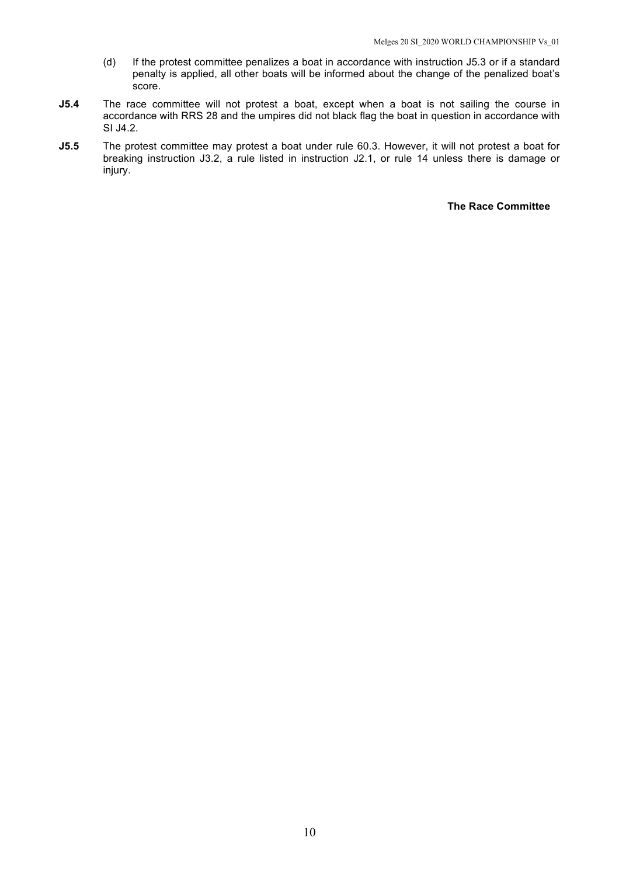- (d) If the protest committee penalizes a boat in accordance with instruction J5.3 or if a standard penalty is applied, all other boats will be informed about the change of the penalized boat's score.
- **J5.4** The race committee will not protest a boat, except when a boat is not sailing the course in accordance with RRS 28 and the umpires did not black flag the boat in question in accordance with SI J4.2.
- **J5.5** The protest committee may protest a boat under rule 60.3. However, it will not protest a boat for breaking instruction J3.2, a rule listed in instruction J2.1, or rule 14 unless there is damage or injury.

#### **The Race Committee**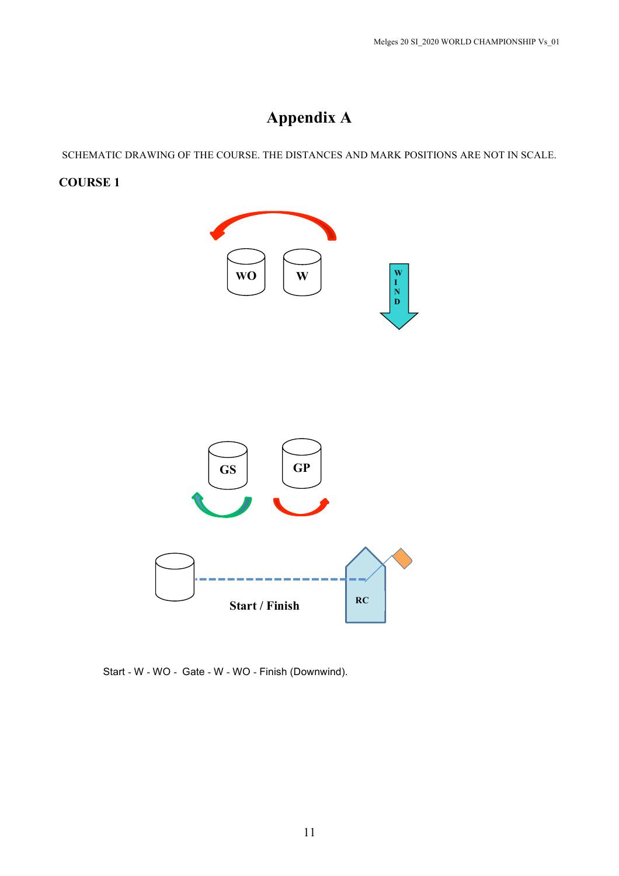# **Appendix A**

SCHEMATIC DRAWING OF THE COURSE. THE DISTANCES AND MARK POSITIONS ARE NOT IN SCALE.

# **COURSE 1**



Start - W - WO - Gate - W - WO - Finish (Downwind).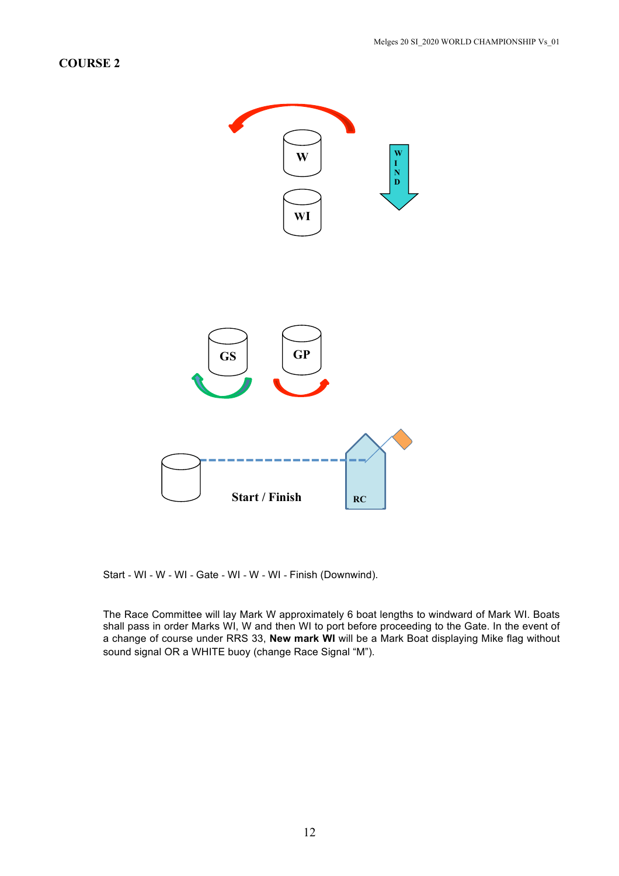# **COURSE 2**



Start - WI - W - WI - Gate - WI - W - WI - Finish (Downwind).

The Race Committee will lay Mark W approximately 6 boat lengths to windward of Mark WI. Boats shall pass in order Marks WI, W and then WI to port before proceeding to the Gate. In the event of a change of course under RRS 33, **New mark WI** will be a Mark Boat displaying Mike flag without sound signal OR a WHITE buoy (change Race Signal "M").